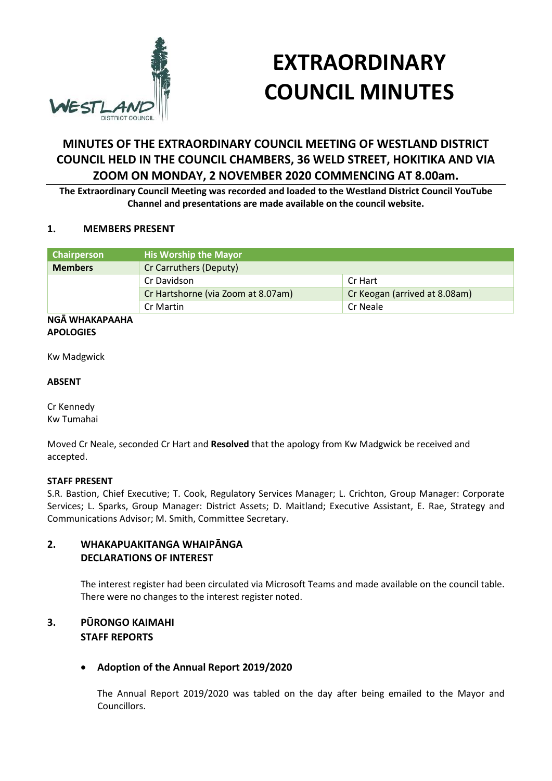

# **EXTRAORDINARY COUNCIL MINUTES**

# **MINUTES OF THE EXTRAORDINARY COUNCIL MEETING OF WESTLAND DISTRICT COUNCIL HELD IN THE COUNCIL CHAMBERS, 36 WELD STREET, HOKITIKA AND VIA ZOOM ON MONDAY, 2 NOVEMBER 2020 COMMENCING AT 8.00am.**

**The Extraordinary Council Meeting was recorded and loaded to the Westland District Council YouTube Channel and presentations are made available on the council website.**

#### **1. MEMBERS PRESENT**

| Chairperson    | <b>His Worship the Mayor</b>       |                               |
|----------------|------------------------------------|-------------------------------|
| <b>Members</b> | Cr Carruthers (Deputy)             |                               |
|                | Cr Davidson                        | Cr Hart                       |
|                | Cr Hartshorne (via Zoom at 8.07am) | Cr Keogan (arrived at 8.08am) |
|                | Cr Martin                          | Cr Neale                      |

#### **NGĀ WHAKAPAAHA APOLOGIES**

Kw Madgwick

#### **ABSENT**

Cr Kennedy Kw Tumahai

Moved Cr Neale, seconded Cr Hart and **Resolved** that the apology from Kw Madgwick be received and accepted.

# **STAFF PRESENT**

S.R. Bastion, Chief Executive; T. Cook, Regulatory Services Manager; L. Crichton, Group Manager: Corporate Services; L. Sparks, Group Manager: District Assets; D. Maitland; Executive Assistant, E. Rae, Strategy and Communications Advisor; M. Smith, Committee Secretary.

# **2. WHAKAPUAKITANGA WHAIPĀNGA DECLARATIONS OF INTEREST**

The interest register had been circulated via Microsoft Teams and made available on the council table. There were no changes to the interest register noted.

# **3. PŪRONGO KAIMAHI STAFF REPORTS**

# **Adoption of the Annual Report 2019/2020**

The Annual Report 2019/2020 was tabled on the day after being emailed to the Mayor and Councillors.